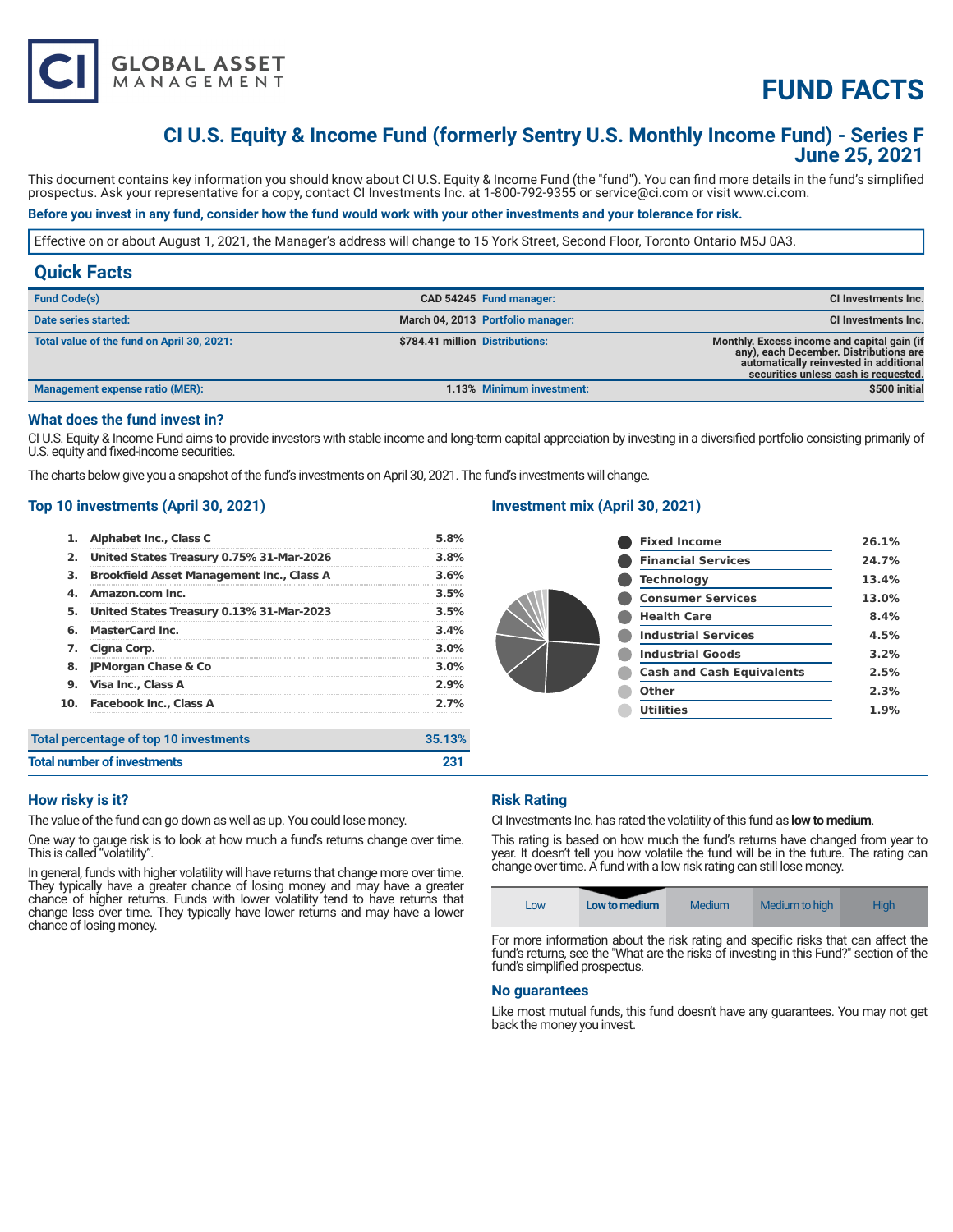

# **FUND FACTS**

## **CI U.S. Equity & Income Fund (formerly Sentry U.S. Monthly Income Fund) - Series F June 25, 2021**

This document contains key information you should know about CI U.S. Equity & Income Fund (the "fund"). You can find more details in the fund's simplified prospectus. Ask your representative for a copy, contact CI Investments Inc. at 1-800-792-9355 or service@ci.com or visit www.ci.com.

#### **Before you invest in any fund, consider how the fund would work with your other investments and your tolerance for risk.**

Effective on or about August 1, 2021, the Manager's address will change to 15 York Street, Second Floor, Toronto Ontario M5J 0A3.

| <b>Quick Facts</b>                         |                                 |                                   |                                                                                                                                                                         |
|--------------------------------------------|---------------------------------|-----------------------------------|-------------------------------------------------------------------------------------------------------------------------------------------------------------------------|
| <b>Fund Code(s)</b>                        |                                 | CAD 54245 Fund manager:           | CI Investments Inc.                                                                                                                                                     |
| Date series started:                       |                                 | March 04, 2013 Portfolio manager: | CI Investments Inc.                                                                                                                                                     |
| Total value of the fund on April 30, 2021: | \$784.41 million Distributions: |                                   | Monthly. Excess income and capital gain (if<br>any), each December. Distributions are<br>automatically reinvested in additional<br>securities unless cash is requested. |
| <b>Management expense ratio (MER):</b>     |                                 | 1.13% Minimum investment:         | \$500 initial                                                                                                                                                           |

#### **What does the fund invest in?**

CI U.S. Equity & Income Fund aims to provide investors with stable income and long-term capital appreciation by investing in a diversified portfolio consisting primarily of U.S. equity and fixed-income securities.

The charts below give you a snapshot of the fund's investments on April 30, 2021. The fund's investments will change.

#### **Top 10 investments (April 30, 2021)**

| 1.                                 | Alphabet Inc., Class C                           | 5.8%    |
|------------------------------------|--------------------------------------------------|---------|
| 2.                                 | United States Treasury 0.75% 31-Mar-2026         | 3.8%    |
| з.                                 | <b>Brookfield Asset Management Inc., Class A</b> | 3.6%    |
| 4.                                 | Amazon.com Inc.                                  | 3.5%    |
| 5.                                 | United States Treasury 0.13% 31-Mar-2023         | 3.5%    |
| 6.                                 | <b>MasterCard Inc.</b>                           | 3.4%    |
| 7.                                 | Cigna Corp.                                      | 3.0%    |
| 8.                                 | <b>JPMorgan Chase &amp; Co</b>                   | $3.0\%$ |
| 9.                                 | Visa Inc., Class A                               | 2.9%    |
| 10.                                | <b>Facebook Inc., Class A</b>                    | 2.7%    |
|                                    | <b>Total percentage of top 10 investments</b>    | 35.13%  |
| <b>Total number of investments</b> |                                                  | 231     |

#### **Investment mix (April 30, 2021)**

| <b>Fixed Income</b>              | 26.1% |
|----------------------------------|-------|
| <b>Financial Services</b>        | 24.7% |
| <b>Technology</b>                | 13.4% |
| <b>Consumer Services</b>         | 13.0% |
| <b>Health Care</b>               | 8.4%  |
| <b>Industrial Services</b>       | 4.5%  |
| <b>Industrial Goods</b>          | 3.2%  |
| <b>Cash and Cash Equivalents</b> | 2.5%  |
| Other                            | 2.3%  |
| <b>Utilities</b>                 | 1.9%  |

**How risky is it?** 

The value of the fund can go down as well as up. You could lose money.

One way to gauge risk is to look at how much a fund's returns change over time. This is called "volatility".

In general, funds with higher volatility will have returns that change more over time. They typically have a greater chance of losing money and may have a greater chance of higher returns. Funds with lower volatility tend to have returns that change less over time. They typically have lower returns and may have a lower chance of losing money.

#### **Risk Rating**

CI Investments Inc. has rated the volatility of this fund as **low to medium**.

This rating is based on how much the fund's returns have changed from year to year. It doesn't tell you how volatile the fund will be in the future. The rating can change over time. A fund with a low risk rating can still lose money.

| Medium to high<br><b>Medium</b><br>Low to medium<br><b>High</b><br>Low |
|------------------------------------------------------------------------|
|------------------------------------------------------------------------|

For more information about the risk rating and specific risks that can affect the fund's returns, see the "What are the risks of investing in this Fund?" section of the fund's simplified prospectus.

#### **No guarantees**

Like most mutual funds, this fund doesn't have any guarantees. You may not get back the money you invest.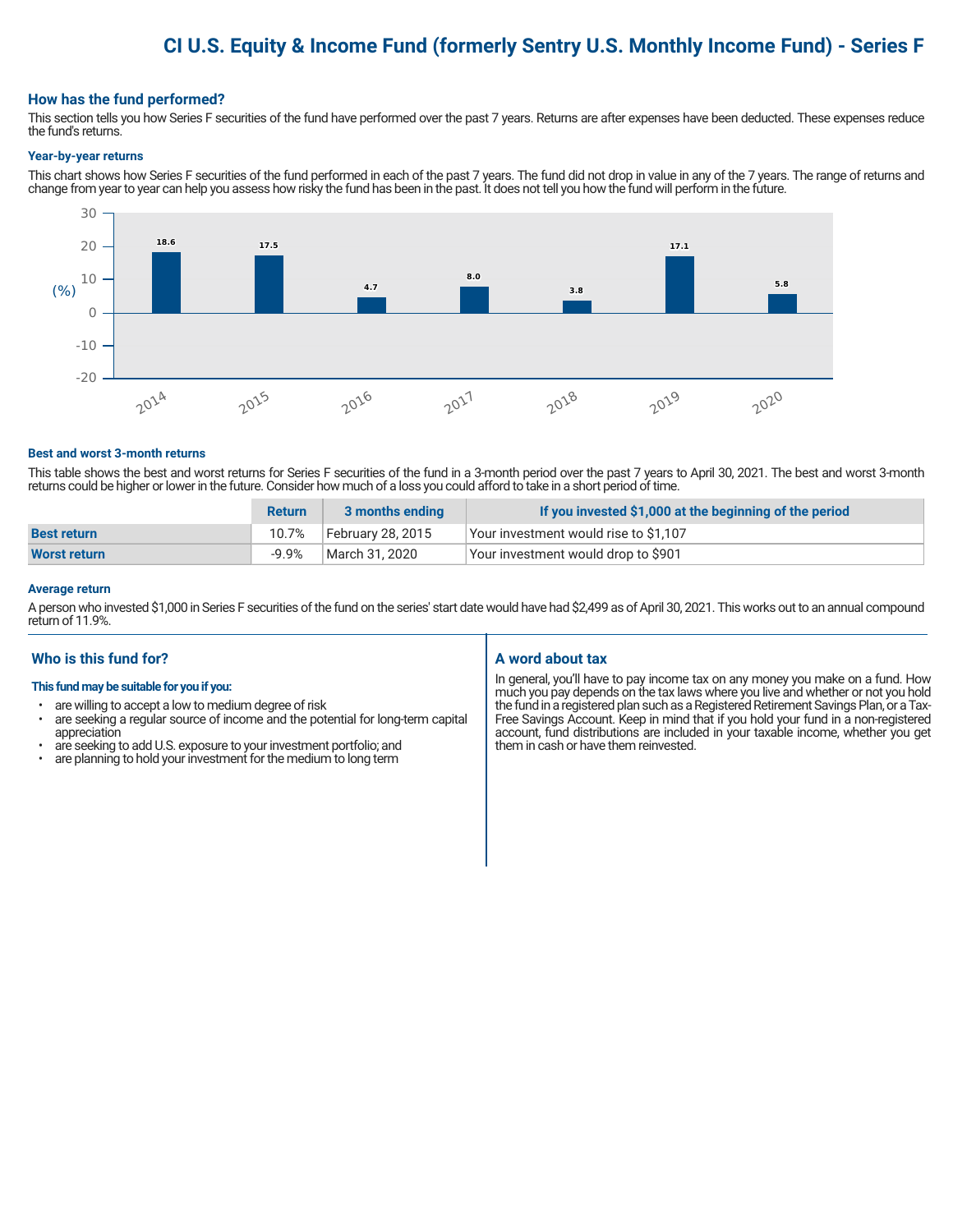## **CI U.S. Equity & Income Fund (formerly Sentry U.S. Monthly Income Fund) - Series F**

#### **How has the fund performed?**

This section tells you how Series F securities of the fund have performed over the past 7 years. Returns are after expenses have been deducted. These expenses reduce the fund's returns.

#### **Year-by-year returns**

This chart shows how Series F securities of the fund performed in each of the past 7 years. The fund did not drop in value in any of the 7 years. The range of returns and change from year to year can help you assess how risky the fund has been in the past. It does not tell you how the fund will perform in the future.



#### **Best and worst 3-month returns**

This table shows the best and worst returns for Series F securities of the fund in a 3-month period over the past 7 years to April 30, 2021. The best and worst 3-month returns could be higher or lower in the future. Consider how much of a loss you could afford to take in a short period of time.

|                     | <b>Return</b> | 3 months ending   | If you invested \$1,000 at the beginning of the period |
|---------------------|---------------|-------------------|--------------------------------------------------------|
| <b>Best return</b>  | 10.7%         | February 28, 2015 | Your investment would rise to \$1,107                  |
| <b>Worst return</b> | $-9.9%$       | March 31, 2020    | Your investment would drop to \$901                    |

#### **Average return**

A person who invested \$1,000 in Series F securities of the fund on the series' start date would have had \$2,499 as of April 30, 2021. This works out to an annual compound return of 11.9%.

#### **Who is this fund for?**

#### **This fund may be suitable for you if you:**

- are willing to accept a low to medium degree of risk
- are seeking a regular source of income and the potential for long-term capital appreciation
- are seeking to add U.S. exposure to your investment portfolio; and<br>• are planning to hold your investment for the medium to long term
- are planning to hold your investment for the medium to long term

#### **A word about tax**

In general, you'll have to pay income tax on any money you make on a fund. How much you pay depends on the tax laws where you live and whether or not you hold the fund in a registered plan such as a Registered Retirement Savings Plan, or a Tax-Free Savings Account. Keep in mind that if you hold your fund in a non-registered account, fund distributions are included in your taxable income, whether you get them in cash or have them reinvested.